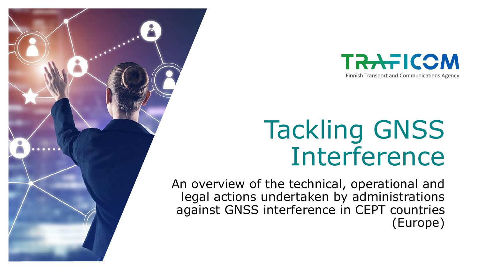

# Tackling GNSS Interference

An overview of the technical, operational and legal actions undertaken by administrations against GNSS interference in CEPT countries (Europe)

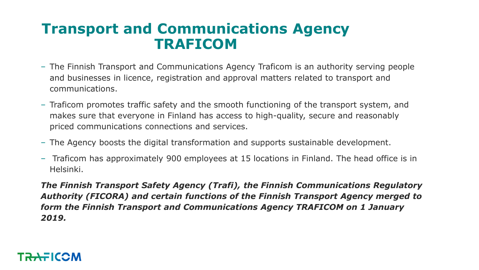### **Transport and Communications Agency TRAFICOM**

- ‒ The Finnish Transport and Communications Agency Traficom is an authority serving people and businesses in licence, registration and approval matters related to transport and communications.
- ‒ Traficom promotes traffic safety and the smooth functioning of the transport system, and makes sure that everyone in Finland has access to high-quality, secure and reasonably priced communications connections and services.
- ‒ The Agency boosts the digital transformation and supports sustainable development.
- ‒ Traficom has approximately 900 employees at 15 locations in Finland. The head office is in Helsinki.

*The Finnish Transport Safety Agency (Trafi), the Finnish Communications Regulatory Authority (FICORA) and certain functions of the Finnish Transport Agency merged to form the Finnish Transport and Communications Agency TRAFICOM on 1 January 2019.*

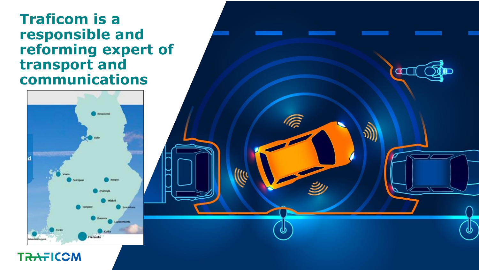### **Traficom is a responsible and reforming expert of transport and communications**

F



**TRAFICOM**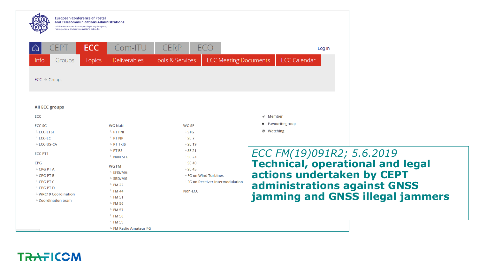| 卬                                                                                                                                                                                                                                  | <b>ECC</b><br>Com-ITU                                                                                                                                                                                                          | <b>CERP</b><br>ECO                                                                                                                                                                                                    | Log in                                                                                                             |
|------------------------------------------------------------------------------------------------------------------------------------------------------------------------------------------------------------------------------------|--------------------------------------------------------------------------------------------------------------------------------------------------------------------------------------------------------------------------------|-----------------------------------------------------------------------------------------------------------------------------------------------------------------------------------------------------------------------|--------------------------------------------------------------------------------------------------------------------|
| Info<br>Groups<br>$ECC \rightarrow$ Groups                                                                                                                                                                                         | <b>Deliverables</b><br><b>Topics</b>                                                                                                                                                                                           | <b>ECC Meeting Documents</b><br><b>Tools &amp; Services</b>                                                                                                                                                           | <b>ECC Calendar</b>                                                                                                |
| <b>All ECC groups</b><br><b>ECC</b><br><b>ECC SG</b><br>$-$ ECC-ETSI<br>$\overline{\phantom{a}}$ ECC-EC                                                                                                                            | <b>WG NaN</b><br>$-$ PT FNI<br>$\mathsf{P}$ PT NP                                                                                                                                                                              | <b>WG SE</b><br>$-$ STG<br>$-$ SE 7                                                                                                                                                                                   | $\checkmark$ Member<br><b>Favourite group</b><br>*                                                                 |
| L ECC-US-CA<br><b>FCC PT1</b><br><b>CPG</b><br>$\mathsf{L}$ CPG PT A<br>$\overline{\phantom{a}}$ CPG PT B<br>$\overline{\phantom{a}}$ CPG PT C<br>$\mathsf{L}$ CPG PT D<br>$\perp$ WRC19 Coordination<br>$\perp$ Coordination team | $\mathsf{F}$ PT TRIS<br>$-$ PT ES<br>$\mathsf{L}$ NaN SFG<br><b>WG FM</b><br>$\overline{\phantom{a}}$ EFIS/MG<br>$\overline{\phantom{a}}$ SRD/MG<br>$-$ FM 22<br>$-$ FM 44<br>$-$ FM 51<br>$-$ FM 56<br>$-$ FM 57<br>$-$ FM 58 | $\overline{\phantom{0}}$ SE 19<br>$-$ SE 21<br>$-$ SE 24<br>$\mathsf{L}$ SE 40<br>$\overline{\phantom{0}}$ SE 45<br>$\overline{\phantom{a}}$ FG on Wind Turbines<br>$\perp$ FG on Receiver Intermodulation<br>Non-ECC | ECC FM(19)091R2; 5.<br><b>Technical, operatio</b><br>actions undertaken<br>administrations aga<br>jamming and GNSS |

 $5.6.2019$ **Technical, operational and legal actions undertaken by CEPT administrations against GNSS illegal jammers** 

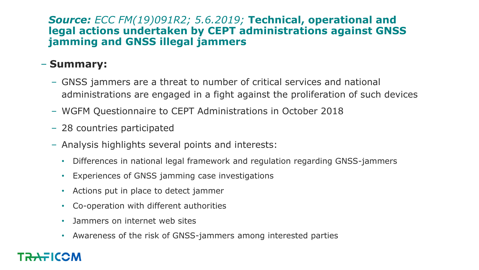#### *Source: ECC FM(19)091R2; 5.6.2019;* **Technical, operational and legal actions undertaken by CEPT administrations against GNSS jamming and GNSS illegal jammers**

### ‒ **Summary:**

- ‒ GNSS jammers are a threat to number of critical services and national administrations are engaged in a fight against the proliferation of such devices
- ‒ WGFM Questionnaire to CEPT Administrations in October 2018
- 28 countries participated
- ‒ Analysis highlights several points and interests:
	- Differences in national legal framework and regulation regarding GNSS-jammers
	- Experiences of GNSS jamming case investigations
	- Actions put in place to detect jammer
	- Co-operation with different authorities
	- Jammers on internet web sites
	- Awareness of the risk of GNSS-jammers among interested parties

### TRAFICOM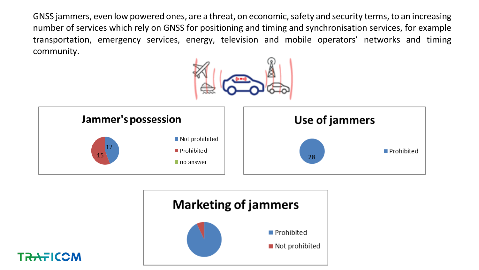GNSS jammers, even low powered ones, are a threat, on economic, safety and security terms, to an increasing number of services which rely on GNSS for positioning and timing and synchronisation services, for example transportation, emergency services, energy, television and mobile operators' networks and timing community.







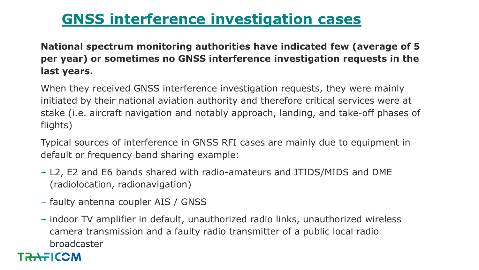### **GNSS interference investigation cases**

**National spectrum monitoring authorities have indicated few (average of 5 per year) or sometimes no GNSS interference investigation requests in the last years.**

When they received GNSS interference investigation requests, they were mainly initiated by their national aviation authority and therefore critical services were at stake (i.e. aircraft navigation and notably approach, landing, and take-off phases of flights)

Typical sources of interference in GNSS RFI cases are mainly due to equipment in default or frequency band sharing example:

- ‒ L2, E2 and E6 bands shared with radio-amateurs and JTIDS/MIDS and DME (radiolocation, radionavigation)
- faulty antenna coupler AIS / GNSS
- ‒ indoor TV amplifier in default, unauthorized radio links, unauthorized wireless camera transmission and a faulty radio transmitter of a public local radio broadcaster

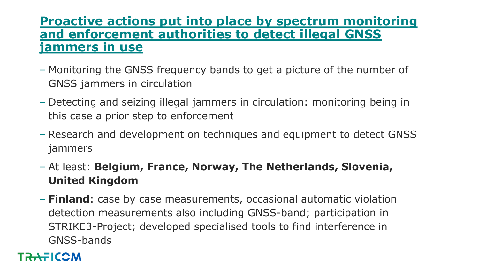### **Proactive actions put into place by spectrum monitoring and enforcement authorities to detect illegal GNSS jammers in use**

- ‒ Monitoring the GNSS frequency bands to get a picture of the number of GNSS jammers in circulation
- ‒ Detecting and seizing illegal jammers in circulation: monitoring being in this case a prior step to enforcement
- ‒ Research and development on techniques and equipment to detect GNSS jammers
- ‒ At least: **Belgium, France, Norway, The Netherlands, Slovenia, United Kingdom**
- ‒ **Finland**: case by case measurements, occasional automatic violation detection measurements also including GNSS-band; participation in STRIKE3-Project; developed specialised tools to find interference in GNSS-bands

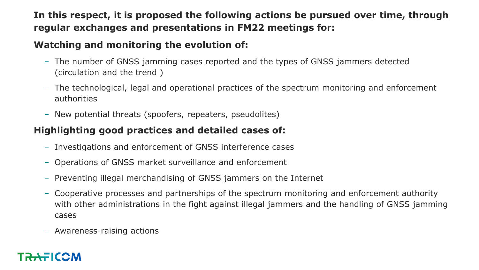### **In this respect, it is proposed the following actions be pursued over time, through regular exchanges and presentations in FM22 meetings for:**

#### **Watching and monitoring the evolution of:**

- ‒ The number of GNSS jamming cases reported and the types of GNSS jammers detected (circulation and the trend )
- The technological, legal and operational practices of the spectrum monitoring and enforcement authorities
- ‒ New potential threats (spoofers, repeaters, pseudolites)

### **Highlighting good practices and detailed cases of:**

- ‒ Investigations and enforcement of GNSS interference cases
- ‒ Operations of GNSS market surveillance and enforcement
- ‒ Preventing illegal merchandising of GNSS jammers on the Internet
- ‒ Cooperative processes and partnerships of the spectrum monitoring and enforcement authority with other administrations in the fight against illegal jammers and the handling of GNSS jamming cases
- ‒ Awareness-raising actions